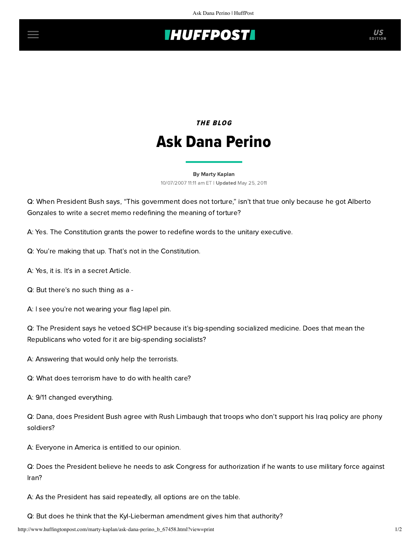## **THUFFPOST**

## THE BLOG Ask Dana Perino

## [By Marty Kaplan](http://www.huffingtonpost.com/author/marty-kaplan)

10/07/2007 11:11 am ET | Updated May 25, 2011

Q: When President Bush says, "This government does not torture," isn't that true only because he got Alberto Gonzales to write a secret memo redefining the meaning of torture?

A: Yes. The Constitution grants the power to redefine words to the unitary executive.

Q: You're making that up. That's not in the Constitution.

A: Yes, it is. It's in a secret Article.

Q: But there's no such thing as a -

A: I see you're not wearing your flag lapel pin.

Q: The President says he vetoed SCHIP because it's big-spending socialized medicine. Does that mean the Republicans who voted for it are big-spending socialists?

A: Answering that would only help the terrorists.

Q: What does terrorism have to do with health care?

A: 9/11 changed everything.

Q: Dana, does President Bush agree with Rush Limbaugh that troops who don't support his Iraq policy are phony soldiers?

A: Everyone in America is entitled to our opinion.

Q: Does the President believe he needs to ask Congress for authorization if he wants to use military force against Iran?

A: As the President has said repeatedly, all options are on the table.

Q: But does he think that the Kyl-Lieberman amendment gives him that authority?